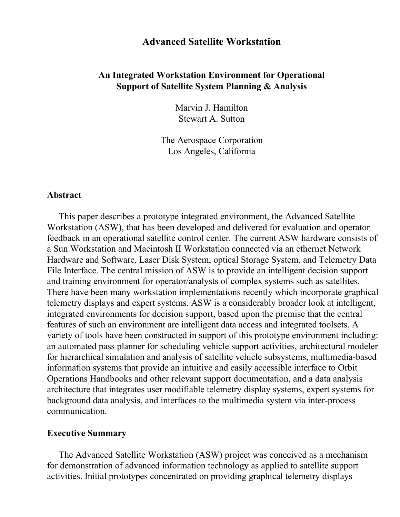# **Advanced Satellite Workstation**

# **An Integrated Workstation Environment for Operational Support of Satellite System Planning & Analysis**

Marvin J. Hamilton Stewart A. Sutton

The Aerospace Corporation Los Angeles, California

#### **Abstract**

This paper describes a prototype integrated environment, the Advanced Satellite Workstation (ASW), that has been developed and delivered for evaluation and operator feedback in an operational satellite control center. The current ASW hardware consists of a Sun Workstation and Macintosh II Workstation connected via an ethernet Network Hardware and Software, Laser Disk System, optical Storage System, and Telemetry Data File Interface. The central mission of ASW is to provide an intelligent decision support and training environment for operator/analysts of complex systems such as satellites. There have been many workstation implementations recently which incorporate graphical telemetry displays and expert systems. ASW is a considerably broader look at intelligent, integrated environments for decision support, based upon the premise that the central features of such an environment are intelligent data access and integrated toolsets. A variety of tools have been constructed in support of this prototype environment including: an automated pass planner for scheduling vehicle support activities, architectural modeler for hierarchical simulation and analysis of satellite vehicle subsystems, multimedia-based information systems that provide an intuitive and easily accessible interface to Orbit Operations Handbooks and other relevant support documentation, and a data analysis architecture that integrates user modifiable telemetry display systems, expert systems for background data analysis, and interfaces to the multimedia system via inter-process communication.

#### **Executive Summary**

The Advanced Satellite Workstation (ASW) project was conceived as a mechanism for demonstration of advanced information technology as applied to satellite support activities. Initial prototypes concentrated on providing graphical telemetry displays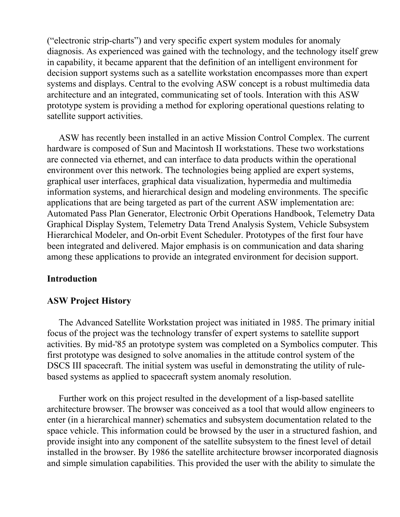("electronic strip-charts") and very specific expert system modules for anomaly diagnosis. As experienced was gained with the technology, and the technology itself grew in capability, it became apparent that the definition of an intelligent environment for decision support systems such as a satellite workstation encompasses more than expert systems and displays. Central to the evolving ASW concept is a robust multimedia data architecture and an integrated, communicating set of tools. Interation with this ASW prototype system is providing a method for exploring operational questions relating to satellite support activities.

ASW has recently been installed in an active Mission Control Complex. The current hardware is composed of Sun and Macintosh II workstations. These two workstations are connected via ethernet, and can interface to data products within the operational environment over this network. The technologies being applied are expert systems, graphical user interfaces, graphical data visualization, hypermedia and multimedia information systems, and hierarchical design and modeling environments. The specific applications that are being targeted as part of the current ASW implementation are: Automated Pass Plan Generator, Electronic Orbit Operations Handbook, Telemetry Data Graphical Display System, Telemetry Data Trend Analysis System, Vehicle Subsystem Hierarchical Modeler, and On-orbit Event Scheduler. Prototypes of the first four have been integrated and delivered. Major emphasis is on communication and data sharing among these applications to provide an integrated environment for decision support.

## **Introduction**

# **ASW Project History**

The Advanced Satellite Workstation project was initiated in 1985. The primary initial focus of the project was the technology transfer of expert systems to satellite support activities. By mid-'85 an prototype system was completed on a Symbolics computer. This first prototype was designed to solve anomalies in the attitude control system of the DSCS III spacecraft. The initial system was useful in demonstrating the utility of rulebased systems as applied to spacecraft system anomaly resolution.

Further work on this project resulted in the development of a lisp-based satellite architecture browser. The browser was conceived as a tool that would allow engineers to enter (in a hierarchical manner) schematics and subsystem documentation related to the space vehicle. This information could be browsed by the user in a structured fashion, and provide insight into any component of the satellite subsystem to the finest level of detail installed in the browser. By 1986 the satellite architecture browser incorporated diagnosis and simple simulation capabilities. This provided the user with the ability to simulate the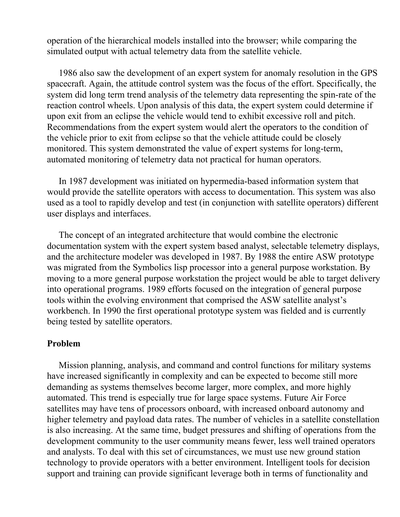operation of the hierarchical models installed into the browser; while comparing the simulated output with actual telemetry data from the satellite vehicle.

1986 also saw the development of an expert system for anomaly resolution in the GPS spacecraft. Again, the attitude control system was the focus of the effort. Specifically, the system did long term trend analysis of the telemetry data representing the spin-rate of the reaction control wheels. Upon analysis of this data, the expert system could determine if upon exit from an eclipse the vehicle would tend to exhibit excessive roll and pitch. Recommendations from the expert system would alert the operators to the condition of the vehicle prior to exit from eclipse so that the vehicle attitude could be closely monitored. This system demonstrated the value of expert systems for long-term, automated monitoring of telemetry data not practical for human operators.

In 1987 development was initiated on hypermedia-based information system that would provide the satellite operators with access to documentation. This system was also used as a tool to rapidly develop and test (in conjunction with satellite operators) different user displays and interfaces.

The concept of an integrated architecture that would combine the electronic documentation system with the expert system based analyst, selectable telemetry displays, and the architecture modeler was developed in 1987. By 1988 the entire ASW prototype was migrated from the Symbolics lisp processor into a general purpose workstation. By moving to a more general purpose workstation the project would be able to target delivery into operational programs. 1989 efforts focused on the integration of general purpose tools within the evolving environment that comprised the ASW satellite analyst's workbench. In 1990 the first operational prototype system was fielded and is currently being tested by satellite operators.

#### **Problem**

Mission planning, analysis, and command and control functions for military systems have increased significantly in complexity and can be expected to become still more demanding as systems themselves become larger, more complex, and more highly automated. This trend is especially true for large space systems. Future Air Force satellites may have tens of processors onboard, with increased onboard autonomy and higher telemetry and payload data rates. The number of vehicles in a satellite constellation is also increasing. At the same time, budget pressures and shifting of operations from the development community to the user community means fewer, less well trained operators and analysts. To deal with this set of circumstances, we must use new ground station technology to provide operators with a better environment. Intelligent tools for decision support and training can provide significant leverage both in terms of functionality and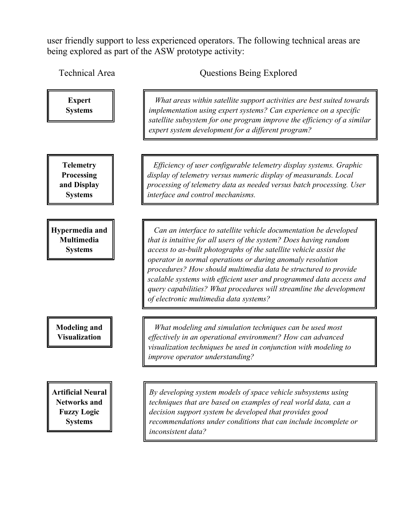user friendly support to less experienced operators. The following technical areas are being explored as part of the ASW prototype activity:

Technical Area **Questions Being Explored** 

 *What areas within satellite support activities are best suited towards implementation using expert systems? Can experience on a specific satellite subsystem for one program improve the efficiency of a similar expert system development for a different program?* **Expert Systems Telemetry Processing and Display Systems** *Efficiency of user configurable telemetry display systems. Graphic display of telemetry versus numeric display of measurands. Local processing of telemetry data as needed versus batch processing. User interface and control mechanisms.* **Hypermedia and Multimedia Systems** *Can an interface to satellite vehicle documentation be developed that is intuitive for all users of the system? Does having random access to as-built photographs of the satellite vehicle assist the operator in normal operations or during anomaly resolution procedures? How should multimedia data be structured to provide scalable systems with efficient user and programmed data access and query capabilities? What procedures will streamline the development of electronic multimedia data systems?* **Modeling and Visualization** *What modeling and simulation techniques can be used most effectively in an operational environment? How can advanced visualization techniques be used in conjunction with modeling to improve operator understanding?* **Artificial Neural Networks and Fuzzy Logic Systems** *By developing system models of space vehicle subsystems using techniques that are based on examples of real world data, can a decision support system be developed that provides good recommendations under conditions that can include incomplete or inconsistent data?*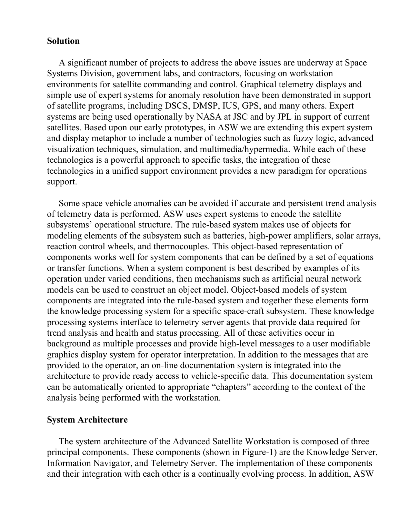#### **Solution**

A significant number of projects to address the above issues are underway at Space Systems Division, government labs, and contractors, focusing on workstation environments for satellite commanding and control. Graphical telemetry displays and simple use of expert systems for anomaly resolution have been demonstrated in support of satellite programs, including DSCS, DMSP, IUS, GPS, and many others. Expert systems are being used operationally by NASA at JSC and by JPL in support of current satellites. Based upon our early prototypes, in ASW we are extending this expert system and display metaphor to include a number of technologies such as fuzzy logic, advanced visualization techniques, simulation, and multimedia/hypermedia. While each of these technologies is a powerful approach to specific tasks, the integration of these technologies in a unified support environment provides a new paradigm for operations support.

Some space vehicle anomalies can be avoided if accurate and persistent trend analysis of telemetry data is performed. ASW uses expert systems to encode the satellite subsystems' operational structure. The rule-based system makes use of objects for modeling elements of the subsystem such as batteries, high-power amplifiers, solar arrays, reaction control wheels, and thermocouples. This object-based representation of components works well for system components that can be defined by a set of equations or transfer functions. When a system component is best described by examples of its operation under varied conditions, then mechanisms such as artificial neural network models can be used to construct an object model. Object-based models of system components are integrated into the rule-based system and together these elements form the knowledge processing system for a specific space-craft subsystem. These knowledge processing systems interface to telemetry server agents that provide data required for trend analysis and health and status processing. All of these activities occur in background as multiple processes and provide high-level messages to a user modifiable graphics display system for operator interpretation. In addition to the messages that are provided to the operator, an on-line documentation system is integrated into the architecture to provide ready access to vehicle-specific data. This documentation system can be automatically oriented to appropriate "chapters" according to the context of the analysis being performed with the workstation.

## **System Architecture**

The system architecture of the Advanced Satellite Workstation is composed of three principal components. These components (shown in Figure-1) are the Knowledge Server, Information Navigator, and Telemetry Server. The implementation of these components and their integration with each other is a continually evolving process. In addition, ASW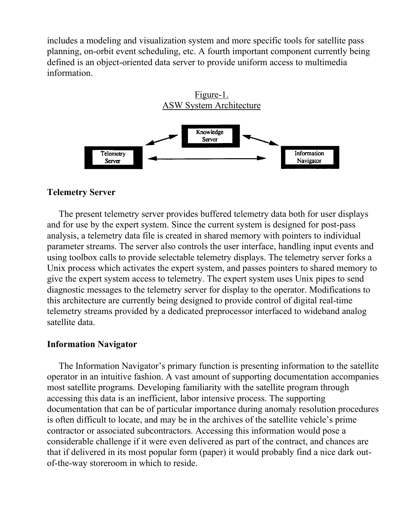includes a modeling and visualization system and more specific tools for satellite pass planning, on-orbit event scheduling, etc. A fourth important component currently being defined is an object-oriented data server to provide uniform access to multimedia information.



#### **Telemetry Server**

The present telemetry server provides buffered telemetry data both for user displays and for use by the expert system. Since the current system is designed for post-pass analysis, a telemetry data file is created in shared memory with pointers to individual parameter streams. The server also controls the user interface, handling input events and using toolbox calls to provide selectable telemetry displays. The telemetry server forks a Unix process which activates the expert system, and passes pointers to shared memory to give the expert system access to telemetry. The expert system uses Unix pipes to send diagnostic messages to the telemetry server for display to the operator. Modifications to this architecture are currently being designed to provide control of digital real-time telemetry streams provided by a dedicated preprocessor interfaced to wideband analog satellite data.

## **Information Navigator**

The Information Navigator's primary function is presenting information to the satellite operator in an intuitive fashion. A vast amount of supporting documentation accompanies most satellite programs. Developing familiarity with the satellite program through accessing this data is an inefficient, labor intensive process. The supporting documentation that can be of particular importance during anomaly resolution procedures is often difficult to locate, and may be in the archives of the satellite vehicle's prime contractor or associated subcontractors. Accessing this information would pose a considerable challenge if it were even delivered as part of the contract, and chances are that if delivered in its most popular form (paper) it would probably find a nice dark outof-the-way storeroom in which to reside.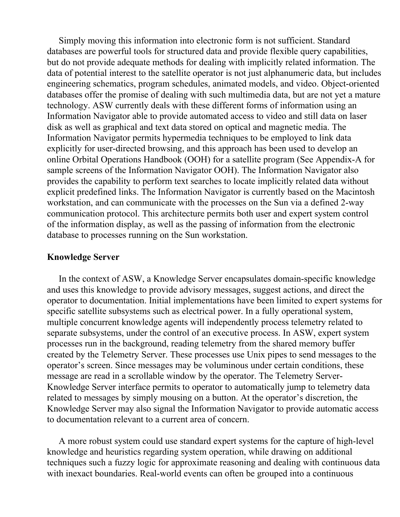Simply moving this information into electronic form is not sufficient. Standard databases are powerful tools for structured data and provide flexible query capabilities, but do not provide adequate methods for dealing with implicitly related information. The data of potential interest to the satellite operator is not just alphanumeric data, but includes engineering schematics, program schedules, animated models, and video. Object-oriented databases offer the promise of dealing with such multimedia data, but are not yet a mature technology. ASW currently deals with these different forms of information using an Information Navigator able to provide automated access to video and still data on laser disk as well as graphical and text data stored on optical and magnetic media. The Information Navigator permits hypermedia techniques to be employed to link data explicitly for user-directed browsing, and this approach has been used to develop an online Orbital Operations Handbook (OOH) for a satellite program (See Appendix-A for sample screens of the Information Navigator OOH). The Information Navigator also provides the capability to perform text searches to locate implicitly related data without explicit predefined links. The Information Navigator is currently based on the Macintosh workstation, and can communicate with the processes on the Sun via a defined 2-way communication protocol. This architecture permits both user and expert system control of the information display, as well as the passing of information from the electronic database to processes running on the Sun workstation.

#### **Knowledge Server**

In the context of ASW, a Knowledge Server encapsulates domain-specific knowledge and uses this knowledge to provide advisory messages, suggest actions, and direct the operator to documentation. Initial implementations have been limited to expert systems for specific satellite subsystems such as electrical power. In a fully operational system, multiple concurrent knowledge agents will independently process telemetry related to separate subsystems, under the control of an executive process. In ASW, expert system processes run in the background, reading telemetry from the shared memory buffer created by the Telemetry Server. These processes use Unix pipes to send messages to the operator's screen. Since messages may be voluminous under certain conditions, these message are read in a scrollable window by the operator. The Telemetry Server-Knowledge Server interface permits to operator to automatically jump to telemetry data related to messages by simply mousing on a button. At the operator's discretion, the Knowledge Server may also signal the Information Navigator to provide automatic access to documentation relevant to a current area of concern.

A more robust system could use standard expert systems for the capture of high-level knowledge and heuristics regarding system operation, while drawing on additional techniques such a fuzzy logic for approximate reasoning and dealing with continuous data with inexact boundaries. Real-world events can often be grouped into a continuous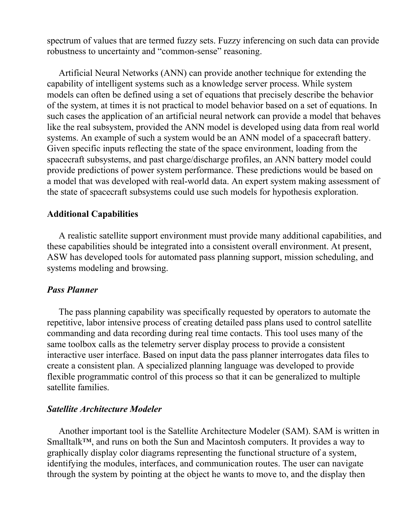spectrum of values that are termed fuzzy sets. Fuzzy inferencing on such data can provide robustness to uncertainty and "common-sense" reasoning.

Artificial Neural Networks (ANN) can provide another technique for extending the capability of intelligent systems such as a knowledge server process. While system models can often be defined using a set of equations that precisely describe the behavior of the system, at times it is not practical to model behavior based on a set of equations. In such cases the application of an artificial neural network can provide a model that behaves like the real subsystem, provided the ANN model is developed using data from real world systems. An example of such a system would be an ANN model of a spacecraft battery. Given specific inputs reflecting the state of the space environment, loading from the spacecraft subsystems, and past charge/discharge profiles, an ANN battery model could provide predictions of power system performance. These predictions would be based on a model that was developed with real-world data. An expert system making assessment of the state of spacecraft subsystems could use such models for hypothesis exploration.

# **Additional Capabilities**

A realistic satellite support environment must provide many additional capabilities, and these capabilities should be integrated into a consistent overall environment. At present, ASW has developed tools for automated pass planning support, mission scheduling, and systems modeling and browsing.

## *Pass Planner*

The pass planning capability was specifically requested by operators to automate the repetitive, labor intensive process of creating detailed pass plans used to control satellite commanding and data recording during real time contacts. This tool uses many of the same toolbox calls as the telemetry server display process to provide a consistent interactive user interface. Based on input data the pass planner interrogates data files to create a consistent plan. A specialized planning language was developed to provide flexible programmatic control of this process so that it can be generalized to multiple satellite families.

## *Satellite Architecture Modeler*

Another important tool is the Satellite Architecture Modeler (SAM). SAM is written in Smalltalk<sup>™</sup>, and runs on both the Sun and Macintosh computers. It provides a way to graphically display color diagrams representing the functional structure of a system, identifying the modules, interfaces, and communication routes. The user can navigate through the system by pointing at the object he wants to move to, and the display then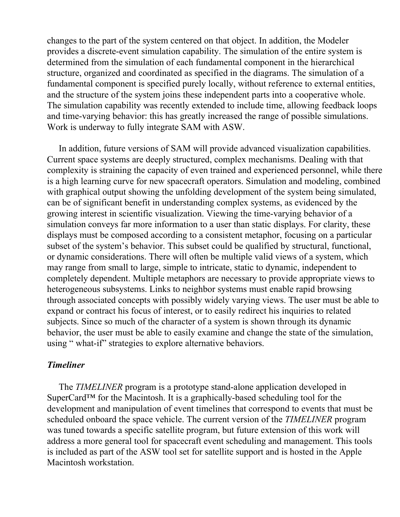changes to the part of the system centered on that object. In addition, the Modeler provides a discrete-event simulation capability. The simulation of the entire system is determined from the simulation of each fundamental component in the hierarchical structure, organized and coordinated as specified in the diagrams. The simulation of a fundamental component is specified purely locally, without reference to external entities, and the structure of the system joins these independent parts into a cooperative whole. The simulation capability was recently extended to include time, allowing feedback loops and time-varying behavior: this has greatly increased the range of possible simulations. Work is underway to fully integrate SAM with ASW.

In addition, future versions of SAM will provide advanced visualization capabilities. Current space systems are deeply structured, complex mechanisms. Dealing with that complexity is straining the capacity of even trained and experienced personnel, while there is a high learning curve for new spacecraft operators. Simulation and modeling, combined with graphical output showing the unfolding development of the system being simulated, can be of significant benefit in understanding complex systems, as evidenced by the growing interest in scientific visualization. Viewing the time-varying behavior of a simulation conveys far more information to a user than static displays. For clarity, these displays must be composed according to a consistent metaphor, focusing on a particular subset of the system's behavior. This subset could be qualified by structural, functional, or dynamic considerations. There will often be multiple valid views of a system, which may range from small to large, simple to intricate, static to dynamic, independent to completely dependent. Multiple metaphors are necessary to provide appropriate views to heterogeneous subsystems. Links to neighbor systems must enable rapid browsing through associated concepts with possibly widely varying views. The user must be able to expand or contract his focus of interest, or to easily redirect his inquiries to related subjects. Since so much of the character of a system is shown through its dynamic behavior, the user must be able to easily examine and change the state of the simulation, using " what-if" strategies to explore alternative behaviors.

## *Timeliner*

The *TIMELINER* program is a prototype stand-alone application developed in SuperCard<sup>™</sup> for the Macintosh. It is a graphically-based scheduling tool for the development and manipulation of event timelines that correspond to events that must be scheduled onboard the space vehicle. The current version of the *TIMELINER* program was tuned towards a specific satellite program, but future extension of this work will address a more general tool for spacecraft event scheduling and management. This tools is included as part of the ASW tool set for satellite support and is hosted in the Apple Macintosh workstation.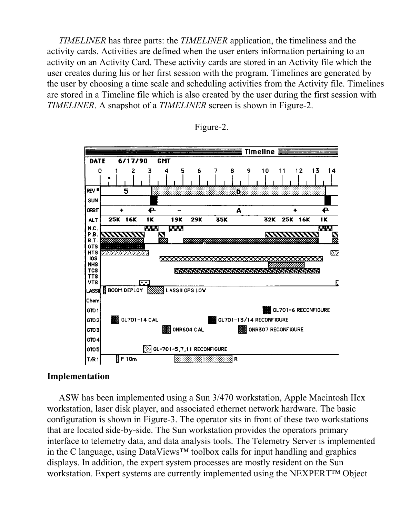*TIMELINER* has three parts: the *TIMELINER* application, the timeliness and the activity cards. Activities are defined when the user enters information pertaining to an activity on an Activity Card. These activity cards are stored in an Activity file which the user creates during his or her first session with the program. Timelines are generated by the user by choosing a time scale and scheduling activities from the Activity file. Timelines are stored in a Timeline file which is also created by the user during the first session with *TIMELINER*. A snapshot of a *TIMELINER* screen is shown in Figure-2.





## **Implementation**

ASW has been implemented using a Sun 3/470 workstation, Apple Macintosh IIcx workstation, laser disk player, and associated ethernet network hardware. The basic configuration is shown in Figure-3. The operator sits in front of these two workstations that are located side-by-side. The Sun workstation provides the operators primary interface to telemetry data, and data analysis tools. The Telemetry Server is implemented in the C language, using DataViews™ toolbox calls for input handling and graphics displays. In addition, the expert system processes are mostly resident on the Sun workstation. Expert systems are currently implemented using the NEXPERT™ Object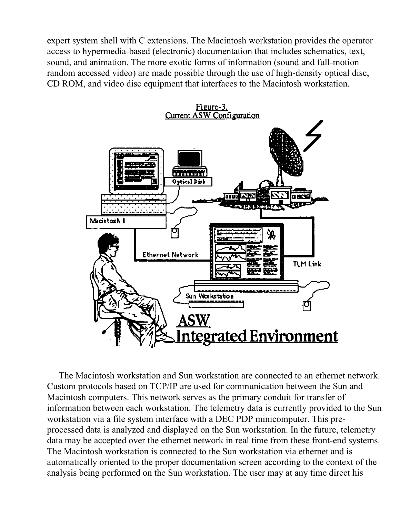expert system shell with C extensions. The Macintosh workstation provides the operator access to hypermedia-based (electronic) documentation that includes schematics, text, sound, and animation. The more exotic forms of information (sound and full-motion random accessed video) are made possible through the use of high-density optical disc, CD ROM, and video disc equipment that interfaces to the Macintosh workstation.



The Macintosh workstation and Sun workstation are connected to an ethernet network. Custom protocols based on TCP/IP are used for communication between the Sun and Macintosh computers. This network serves as the primary conduit for transfer of information between each workstation. The telemetry data is currently provided to the Sun workstation via a file system interface with a DEC PDP minicomputer. This preprocessed data is analyzed and displayed on the Sun workstation. In the future, telemetry data may be accepted over the ethernet network in real time from these front-end systems. The Macintosh workstation is connected to the Sun workstation via ethernet and is automatically oriented to the proper documentation screen according to the context of the analysis being performed on the Sun workstation. The user may at any time direct his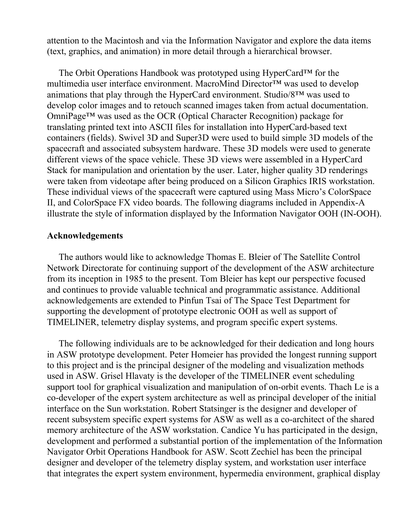attention to the Macintosh and via the Information Navigator and explore the data items (text, graphics, and animation) in more detail through a hierarchical browser.

The Orbit Operations Handbook was prototyped using HyperCard™ for the multimedia user interface environment. MacroMind Director™ was used to develop animations that play through the HyperCard environment. Studio/8™ was used to develop color images and to retouch scanned images taken from actual documentation. OmniPage™ was used as the OCR (Optical Character Recognition) package for translating printed text into ASCII files for installation into HyperCard-based text containers (fields). Swivel 3D and Super3D were used to build simple 3D models of the spacecraft and associated subsystem hardware. These 3D models were used to generate different views of the space vehicle. These 3D views were assembled in a HyperCard Stack for manipulation and orientation by the user. Later, higher quality 3D renderings were taken from videotape after being produced on a Silicon Graphics IRIS workstation. These individual views of the spacecraft were captured using Mass Micro's ColorSpace II, and ColorSpace FX video boards. The following diagrams included in Appendix-A illustrate the style of information displayed by the Information Navigator OOH (IN-OOH).

#### **Acknowledgements**

The authors would like to acknowledge Thomas E. Bleier of The Satellite Control Network Directorate for continuing support of the development of the ASW architecture from its inception in 1985 to the present. Tom Bleier has kept our perspective focused and continues to provide valuable technical and programmatic assistance. Additional acknowledgements are extended to Pinfun Tsai of The Space Test Department for supporting the development of prototype electronic OOH as well as support of TIMELINER, telemetry display systems, and program specific expert systems.

The following individuals are to be acknowledged for their dedication and long hours in ASW prototype development. Peter Homeier has provided the longest running support to this project and is the principal designer of the modeling and visualization methods used in ASW. Grisel Hlavaty is the developer of the TIMELINER event scheduling support tool for graphical visualization and manipulation of on-orbit events. Thach Le is a co-developer of the expert system architecture as well as principal developer of the initial interface on the Sun workstation. Robert Statsinger is the designer and developer of recent subsystem specific expert systems for ASW as well as a co-architect of the shared memory architecture of the ASW workstation. Candice Yu has participated in the design, development and performed a substantial portion of the implementation of the Information Navigator Orbit Operations Handbook for ASW. Scott Zechiel has been the principal designer and developer of the telemetry display system, and workstation user interface that integrates the expert system environment, hypermedia environment, graphical display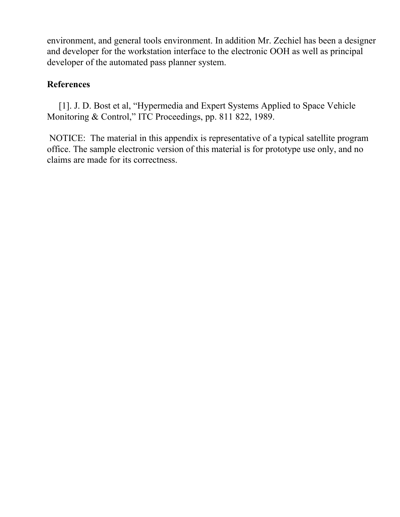environment, and general tools environment. In addition Mr. Zechiel has been a designer and developer for the workstation interface to the electronic OOH as well as principal developer of the automated pass planner system.

# **References**

[1]. J. D. Bost et al, "Hypermedia and Expert Systems Applied to Space Vehicle Monitoring & Control," ITC Proceedings, pp. 811 822, 1989.

 NOTICE: The material in this appendix is representative of a typical satellite program office. The sample electronic version of this material is for prototype use only, and no claims are made for its correctness.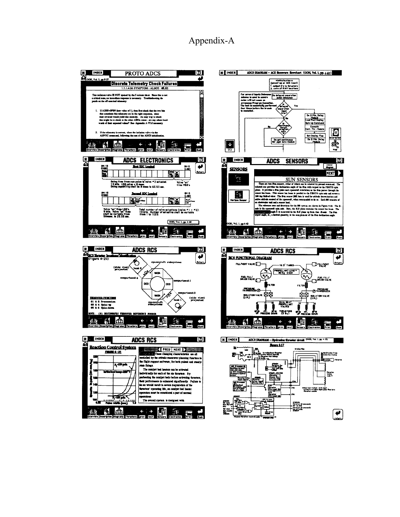# Appendix-A

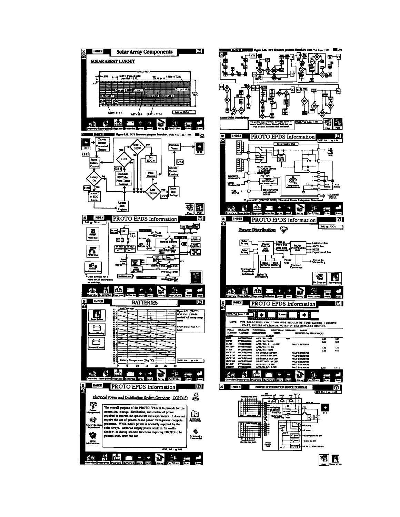